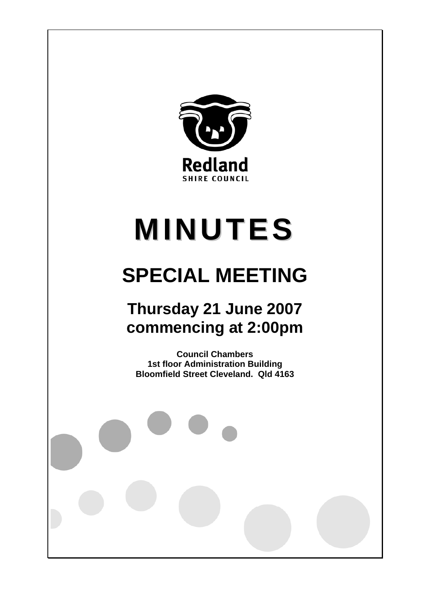

# **MINUTES**

## **SPECIAL MEETING**

### **Thursday 21 June 2007 commencing at 2:00pm**

**Council Chambers 1st floor Administration Building Bloomfield Street Cleveland. Qld 4163**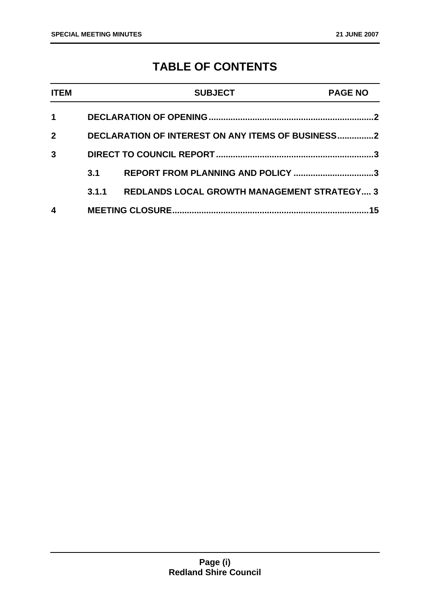### **TABLE OF CONTENTS**

| <b>ITEM</b>  |                                                   | <b>SUBJECT</b>                                     | <b>PAGE NO</b> |
|--------------|---------------------------------------------------|----------------------------------------------------|----------------|
| 1            |                                                   |                                                    |                |
| $\mathbf{2}$ | DECLARATION OF INTEREST ON ANY ITEMS OF BUSINESS2 |                                                    |                |
| $\mathbf{3}$ |                                                   |                                                    |                |
|              | 3.1                                               | REPORT FROM PLANNING AND POLICY 3                  |                |
|              | 3.1.1                                             | <b>REDLANDS LOCAL GROWTH MANAGEMENT STRATEGY 3</b> |                |
| 4            | 15                                                |                                                    |                |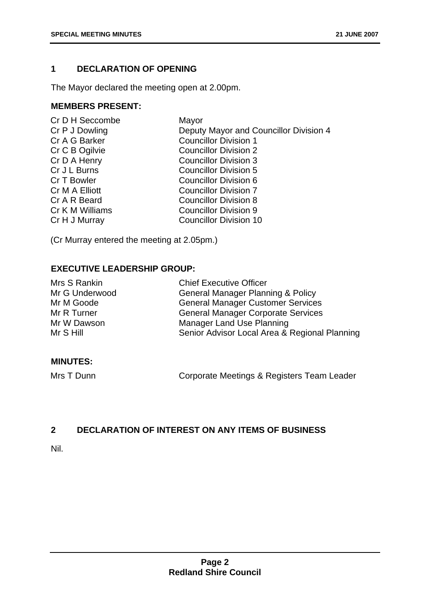#### **1 DECLARATION OF OPENING**

The Mayor declared the meeting open at 2.00pm.

#### **MEMBERS PRESENT:**

| Cr D H Seccombe | Mayor                                  |
|-----------------|----------------------------------------|
| Cr P J Dowling  | Deputy Mayor and Councillor Division 4 |
| Cr A G Barker   | <b>Councillor Division 1</b>           |
| Cr C B Ogilvie  | <b>Councillor Division 2</b>           |
| Cr D A Henry    | <b>Councillor Division 3</b>           |
| Cr J L Burns    | <b>Councillor Division 5</b>           |
| Cr T Bowler     | Councillor Division 6                  |
| Cr M A Elliott  | <b>Councillor Division 7</b>           |
| Cr A R Beard    | <b>Councillor Division 8</b>           |
| Cr K M Williams | <b>Councillor Division 9</b>           |
| Cr H J Murray   | <b>Councillor Division 10</b>          |
|                 |                                        |

(Cr Murray entered the meeting at 2.05pm.)

#### **EXECUTIVE LEADERSHIP GROUP:**

| Mrs S Rankin   | <b>Chief Executive Officer</b>                |
|----------------|-----------------------------------------------|
| Mr G Underwood | <b>General Manager Planning &amp; Policy</b>  |
| Mr M Goode     | <b>General Manager Customer Services</b>      |
| Mr R Turner    | <b>General Manager Corporate Services</b>     |
| Mr W Dawson    | Manager Land Use Planning                     |
| Mr S Hill      | Senior Advisor Local Area & Regional Planning |

#### **MINUTES:**

Mrs T Dunn **Corporate Meetings & Registers Team Leader** 

#### **2 DECLARATION OF INTEREST ON ANY ITEMS OF BUSINESS**

Nil.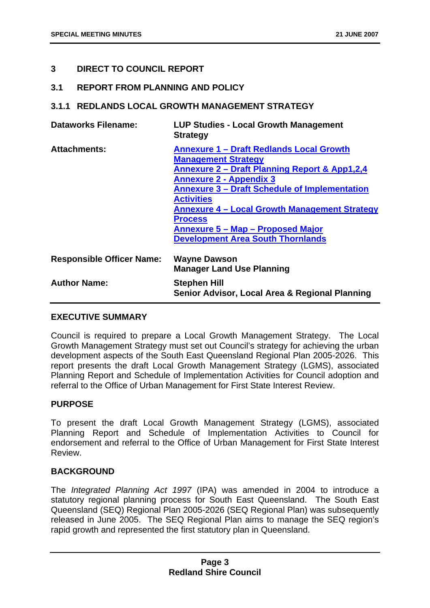#### **3 DIRECT TO COUNCIL REPORT**

#### **3.1 REPORT FROM PLANNING AND POLICY**

#### **3.1.1 REDLANDS LOCAL GROWTH MANAGEMENT STRATEGY**

| <b>Dataworks Filename:</b>       | <b>LUP Studies - Local Growth Management</b><br><b>Strategy</b>                                                                                                                                                                                                                                                                                                                                                     |
|----------------------------------|---------------------------------------------------------------------------------------------------------------------------------------------------------------------------------------------------------------------------------------------------------------------------------------------------------------------------------------------------------------------------------------------------------------------|
| <b>Attachments:</b>              | <b>Annexure 1 - Draft Redlands Local Growth</b><br><b>Management Strategy</b><br><b>Annexure 2 – Draft Planning Report &amp; App1,2,4</b><br><b>Annexure 2 - Appendix 3</b><br><b>Annexure 3 – Draft Schedule of Implementation</b><br><b>Activities</b><br><b>Annexure 4 - Local Growth Management Strategy</b><br><b>Process</b><br>Annexure 5 – Map – Proposed Major<br><b>Development Area South Thornlands</b> |
| <b>Responsible Officer Name:</b> | <b>Wayne Dawson</b><br><b>Manager Land Use Planning</b>                                                                                                                                                                                                                                                                                                                                                             |
| <b>Author Name:</b>              | <b>Stephen Hill</b><br>Senior Advisor, Local Area & Regional Planning                                                                                                                                                                                                                                                                                                                                               |

#### **EXECUTIVE SUMMARY**

Council is required to prepare a Local Growth Management Strategy. The Local Growth Management Strategy must set out Council's strategy for achieving the urban development aspects of the South East Queensland Regional Plan 2005-2026. This report presents the draft Local Growth Management Strategy (LGMS), associated Planning Report and Schedule of Implementation Activities for Council adoption and referral to the Office of Urban Management for First State Interest Review.

#### **PURPOSE**

To present the draft Local Growth Management Strategy (LGMS), associated Planning Report and Schedule of Implementation Activities to Council for endorsement and referral to the Office of Urban Management for First State Interest Review.

#### **BACKGROUND**

The *Integrated Planning Act 1997* (IPA) was amended in 2004 to introduce a statutory regional planning process for South East Queensland. The South East Queensland (SEQ) Regional Plan 2005-2026 (SEQ Regional Plan) was subsequently released in June 2005. The SEQ Regional Plan aims to manage the SEQ region's rapid growth and represented the first statutory plan in Queensland.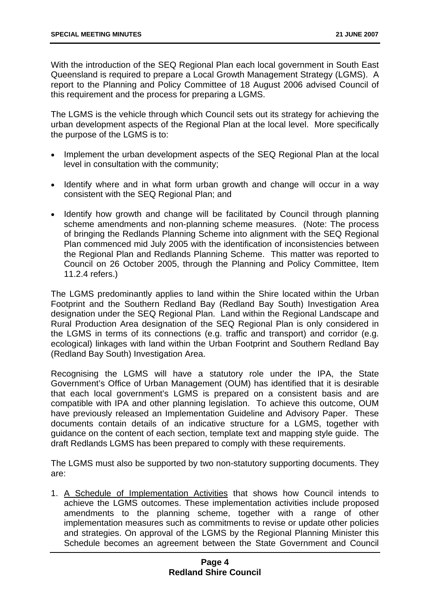With the introduction of the SEQ Regional Plan each local government in South East Queensland is required to prepare a Local Growth Management Strategy (LGMS). A report to the Planning and Policy Committee of 18 August 2006 advised Council of this requirement and the process for preparing a LGMS.

The LGMS is the vehicle through which Council sets out its strategy for achieving the urban development aspects of the Regional Plan at the local level. More specifically the purpose of the LGMS is to:

- Implement the urban development aspects of the SEQ Regional Plan at the local level in consultation with the community;
- Identify where and in what form urban growth and change will occur in a way consistent with the SEQ Regional Plan; and
- Identify how growth and change will be facilitated by Council through planning scheme amendments and non-planning scheme measures. (Note: The process of bringing the Redlands Planning Scheme into alignment with the SEQ Regional Plan commenced mid July 2005 with the identification of inconsistencies between the Regional Plan and Redlands Planning Scheme. This matter was reported to Council on 26 October 2005, through the Planning and Policy Committee, Item 11.2.4 refers.)

The LGMS predominantly applies to land within the Shire located within the Urban Footprint and the Southern Redland Bay (Redland Bay South) Investigation Area designation under the SEQ Regional Plan. Land within the Regional Landscape and Rural Production Area designation of the SEQ Regional Plan is only considered in the LGMS in terms of its connections (e.g. traffic and transport) and corridor (e.g. ecological) linkages with land within the Urban Footprint and Southern Redland Bay (Redland Bay South) Investigation Area.

Recognising the LGMS will have a statutory role under the IPA, the State Government's Office of Urban Management (OUM) has identified that it is desirable that each local government's LGMS is prepared on a consistent basis and are compatible with IPA and other planning legislation. To achieve this outcome, OUM have previously released an Implementation Guideline and Advisory Paper. These documents contain details of an indicative structure for a LGMS, together with guidance on the content of each section, template text and mapping style guide. The draft Redlands LGMS has been prepared to comply with these requirements.

The LGMS must also be supported by two non-statutory supporting documents. They are:

1. A Schedule of Implementation Activities that shows how Council intends to achieve the LGMS outcomes. These implementation activities include proposed amendments to the planning scheme, together with a range of other implementation measures such as commitments to revise or update other policies and strategies. On approval of the LGMS by the Regional Planning Minister this Schedule becomes an agreement between the State Government and Council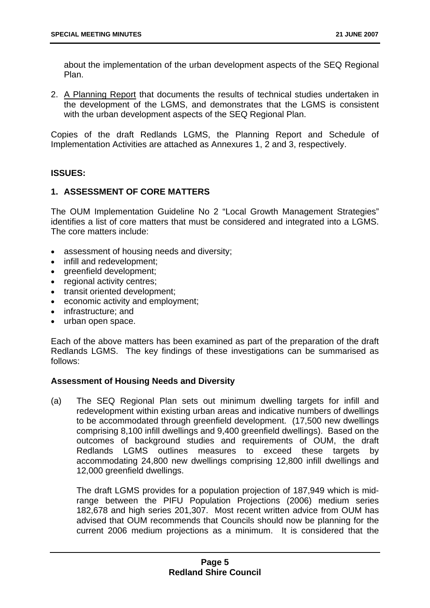about the implementation of the urban development aspects of the SEQ Regional Plan.

2. A Planning Report that documents the results of technical studies undertaken in the development of the LGMS, and demonstrates that the LGMS is consistent with the urban development aspects of the SEQ Regional Plan.

Copies of the draft Redlands LGMS, the Planning Report and Schedule of Implementation Activities are attached as Annexures 1, 2 and 3, respectively.

#### **ISSUES:**

#### **1. ASSESSMENT OF CORE MATTERS**

The OUM Implementation Guideline No 2 "Local Growth Management Strategies" identifies a list of core matters that must be considered and integrated into a LGMS. The core matters include:

- assessment of housing needs and diversity;
- infill and redevelopment:
- greenfield development;
- regional activity centres;
- transit oriented development:
- economic activity and employment;
- infrastructure: and
- urban open space.

Each of the above matters has been examined as part of the preparation of the draft Redlands LGMS. The key findings of these investigations can be summarised as follows:

#### **Assessment of Housing Needs and Diversity**

(a) The SEQ Regional Plan sets out minimum dwelling targets for infill and redevelopment within existing urban areas and indicative numbers of dwellings to be accommodated through greenfield development. (17,500 new dwellings comprising 8,100 infill dwellings and 9,400 greenfield dwellings). Based on the outcomes of background studies and requirements of OUM, the draft Redlands LGMS outlines measures to exceed these targets by accommodating 24,800 new dwellings comprising 12,800 infill dwellings and 12,000 greenfield dwellings.

 The draft LGMS provides for a population projection of 187,949 which is midrange between the PIFU Population Projections (2006) medium series 182,678 and high series 201,307. Most recent written advice from OUM has advised that OUM recommends that Councils should now be planning for the current 2006 medium projections as a minimum. It is considered that the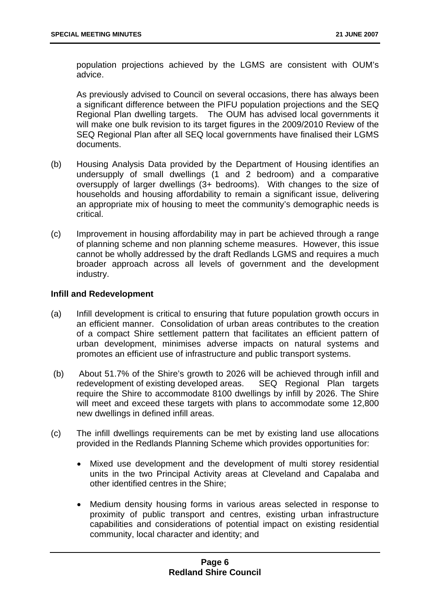population projections achieved by the LGMS are consistent with OUM's advice.

 As previously advised to Council on several occasions, there has always been a significant difference between the PIFU population projections and the SEQ Regional Plan dwelling targets. The OUM has advised local governments it will make one bulk revision to its target figures in the 2009/2010 Review of the SEQ Regional Plan after all SEQ local governments have finalised their LGMS documents.

- (b) Housing Analysis Data provided by the Department of Housing identifies an undersupply of small dwellings (1 and 2 bedroom) and a comparative oversupply of larger dwellings (3+ bedrooms). With changes to the size of households and housing affordability to remain a significant issue, delivering an appropriate mix of housing to meet the community's demographic needs is critical.
- (c) Improvement in housing affordability may in part be achieved through a range of planning scheme and non planning scheme measures. However, this issue cannot be wholly addressed by the draft Redlands LGMS and requires a much broader approach across all levels of government and the development industry.

#### **Infill and Redevelopment**

- (a) Infill development is critical to ensuring that future population growth occurs in an efficient manner. Consolidation of urban areas contributes to the creation of a compact Shire settlement pattern that facilitates an efficient pattern of urban development, minimises adverse impacts on natural systems and promotes an efficient use of infrastructure and public transport systems.
- (b) About 51.7% of the Shire's growth to 2026 will be achieved through infill and redevelopment of existing developed areas. SEQ Regional Plan targets require the Shire to accommodate 8100 dwellings by infill by 2026. The Shire will meet and exceed these targets with plans to accommodate some 12,800 new dwellings in defined infill areas.
- (c) The infill dwellings requirements can be met by existing land use allocations provided in the Redlands Planning Scheme which provides opportunities for:
	- Mixed use development and the development of multi storey residential units in the two Principal Activity areas at Cleveland and Capalaba and other identified centres in the Shire;
	- Medium density housing forms in various areas selected in response to proximity of public transport and centres, existing urban infrastructure capabilities and considerations of potential impact on existing residential community, local character and identity; and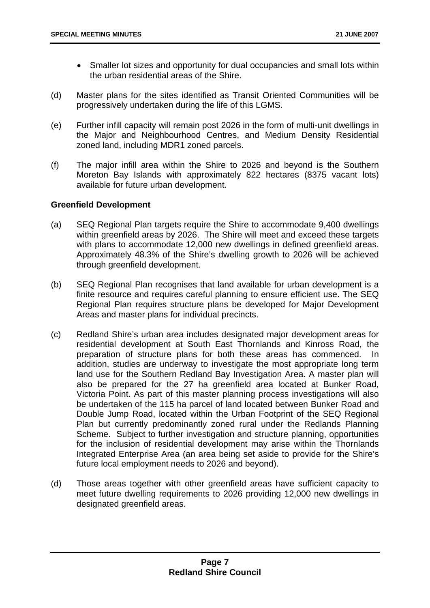- Smaller lot sizes and opportunity for dual occupancies and small lots within the urban residential areas of the Shire.
- (d) Master plans for the sites identified as Transit Oriented Communities will be progressively undertaken during the life of this LGMS.
- (e) Further infill capacity will remain post 2026 in the form of multi-unit dwellings in the Major and Neighbourhood Centres, and Medium Density Residential zoned land, including MDR1 zoned parcels.
- (f) The major infill area within the Shire to 2026 and beyond is the Southern Moreton Bay Islands with approximately 822 hectares (8375 vacant lots) available for future urban development.

#### **Greenfield Development**

- (a) SEQ Regional Plan targets require the Shire to accommodate 9,400 dwellings within greenfield areas by 2026. The Shire will meet and exceed these targets with plans to accommodate 12,000 new dwellings in defined greenfield areas. Approximately 48.3% of the Shire's dwelling growth to 2026 will be achieved through greenfield development.
- (b) SEQ Regional Plan recognises that land available for urban development is a finite resource and requires careful planning to ensure efficient use. The SEQ Regional Plan requires structure plans be developed for Major Development Areas and master plans for individual precincts.
- (c) Redland Shire's urban area includes designated major development areas for residential development at South East Thornlands and Kinross Road, the preparation of structure plans for both these areas has commenced. In addition, studies are underway to investigate the most appropriate long term land use for the Southern Redland Bay Investigation Area. A master plan will also be prepared for the 27 ha greenfield area located at Bunker Road, Victoria Point. As part of this master planning process investigations will also be undertaken of the 115 ha parcel of land located between Bunker Road and Double Jump Road, located within the Urban Footprint of the SEQ Regional Plan but currently predominantly zoned rural under the Redlands Planning Scheme. Subject to further investigation and structure planning, opportunities for the inclusion of residential development may arise within the Thornlands Integrated Enterprise Area (an area being set aside to provide for the Shire's future local employment needs to 2026 and beyond).
- (d) Those areas together with other greenfield areas have sufficient capacity to meet future dwelling requirements to 2026 providing 12,000 new dwellings in designated greenfield areas.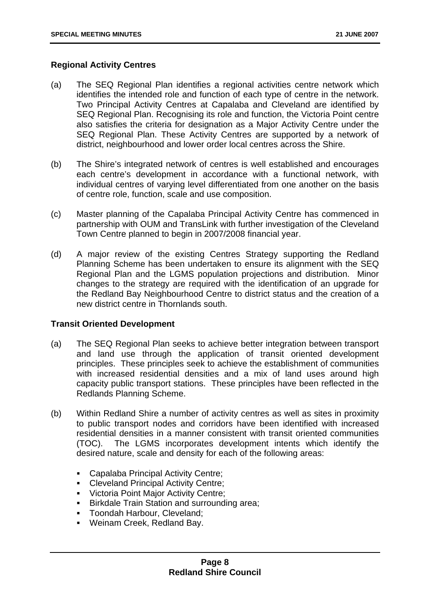#### **Regional Activity Centres**

- (a) The SEQ Regional Plan identifies a regional activities centre network which identifies the intended role and function of each type of centre in the network. Two Principal Activity Centres at Capalaba and Cleveland are identified by SEQ Regional Plan. Recognising its role and function, the Victoria Point centre also satisfies the criteria for designation as a Major Activity Centre under the SEQ Regional Plan. These Activity Centres are supported by a network of district, neighbourhood and lower order local centres across the Shire.
- (b) The Shire's integrated network of centres is well established and encourages each centre's development in accordance with a functional network, with individual centres of varying level differentiated from one another on the basis of centre role, function, scale and use composition.
- (c) Master planning of the Capalaba Principal Activity Centre has commenced in partnership with OUM and TransLink with further investigation of the Cleveland Town Centre planned to begin in 2007/2008 financial year.
- (d) A major review of the existing Centres Strategy supporting the Redland Planning Scheme has been undertaken to ensure its alignment with the SEQ Regional Plan and the LGMS population projections and distribution. Minor changes to the strategy are required with the identification of an upgrade for the Redland Bay Neighbourhood Centre to district status and the creation of a new district centre in Thornlands south.

#### **Transit Oriented Development**

- (a) The SEQ Regional Plan seeks to achieve better integration between transport and land use through the application of transit oriented development principles. These principles seek to achieve the establishment of communities with increased residential densities and a mix of land uses around high capacity public transport stations. These principles have been reflected in the Redlands Planning Scheme.
- (b) Within Redland Shire a number of activity centres as well as sites in proximity to public transport nodes and corridors have been identified with increased residential densities in a manner consistent with transit oriented communities (TOC). The LGMS incorporates development intents which identify the desired nature, scale and density for each of the following areas:
	- Capalaba Principal Activity Centre;
	- Cleveland Principal Activity Centre;
	- **Victoria Point Major Activity Centre;**
	- **Birkdale Train Station and surrounding area;**
	- **Toondah Harbour, Cleveland;**
	- Weinam Creek, Redland Bay.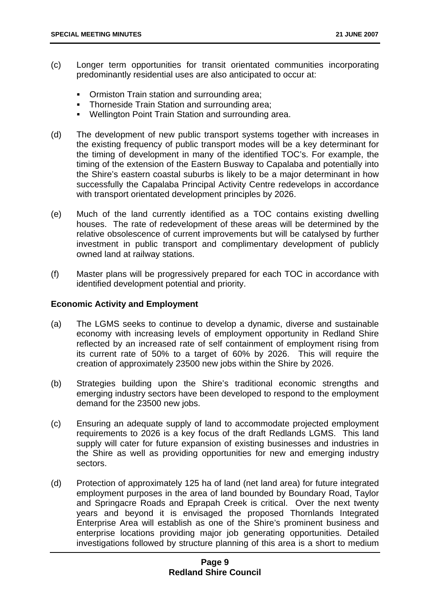- (c) Longer term opportunities for transit orientated communities incorporating predominantly residential uses are also anticipated to occur at:
	- Ormiston Train station and surrounding area;
	- **Thorneside Train Station and surrounding area;**
	- Wellington Point Train Station and surrounding area.
- (d) The development of new public transport systems together with increases in the existing frequency of public transport modes will be a key determinant for the timing of development in many of the identified TOC's. For example, the timing of the extension of the Eastern Busway to Capalaba and potentially into the Shire's eastern coastal suburbs is likely to be a major determinant in how successfully the Capalaba Principal Activity Centre redevelops in accordance with transport orientated development principles by 2026.
- (e) Much of the land currently identified as a TOC contains existing dwelling houses. The rate of redevelopment of these areas will be determined by the relative obsolescence of current improvements but will be catalysed by further investment in public transport and complimentary development of publicly owned land at railway stations.
- (f) Master plans will be progressively prepared for each TOC in accordance with identified development potential and priority.

#### **Economic Activity and Employment**

- (a) The LGMS seeks to continue to develop a dynamic, diverse and sustainable economy with increasing levels of employment opportunity in Redland Shire reflected by an increased rate of self containment of employment rising from its current rate of 50% to a target of 60% by 2026. This will require the creation of approximately 23500 new jobs within the Shire by 2026.
- (b) Strategies building upon the Shire's traditional economic strengths and emerging industry sectors have been developed to respond to the employment demand for the 23500 new jobs.
- (c) Ensuring an adequate supply of land to accommodate projected employment requirements to 2026 is a key focus of the draft Redlands LGMS. This land supply will cater for future expansion of existing businesses and industries in the Shire as well as providing opportunities for new and emerging industry sectors.
- (d) Protection of approximately 125 ha of land (net land area) for future integrated employment purposes in the area of land bounded by Boundary Road, Taylor and Springacre Roads and Eprapah Creek is critical. Over the next twenty years and beyond it is envisaged the proposed Thornlands Integrated Enterprise Area will establish as one of the Shire's prominent business and enterprise locations providing major job generating opportunities. Detailed investigations followed by structure planning of this area is a short to medium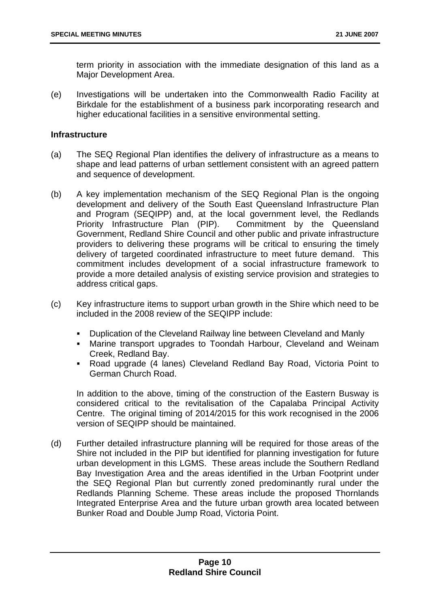term priority in association with the immediate designation of this land as a Major Development Area.

(e) Investigations will be undertaken into the Commonwealth Radio Facility at Birkdale for the establishment of a business park incorporating research and higher educational facilities in a sensitive environmental setting.

#### **Infrastructure**

- (a) The SEQ Regional Plan identifies the delivery of infrastructure as a means to shape and lead patterns of urban settlement consistent with an agreed pattern and sequence of development.
- (b) A key implementation mechanism of the SEQ Regional Plan is the ongoing development and delivery of the South East Queensland Infrastructure Plan and Program (SEQIPP) and, at the local government level, the Redlands Priority Infrastructure Plan (PIP). Commitment by the Queensland Government, Redland Shire Council and other public and private infrastructure providers to delivering these programs will be critical to ensuring the timely delivery of targeted coordinated infrastructure to meet future demand. This commitment includes development of a social infrastructure framework to provide a more detailed analysis of existing service provision and strategies to address critical gaps.
- (c) Key infrastructure items to support urban growth in the Shire which need to be included in the 2008 review of the SEQIPP include:
	- Duplication of the Cleveland Railway line between Cleveland and Manly
	- Marine transport upgrades to Toondah Harbour, Cleveland and Weinam Creek, Redland Bay.
	- Road upgrade (4 lanes) Cleveland Redland Bay Road, Victoria Point to German Church Road.

In addition to the above, timing of the construction of the Eastern Busway is considered critical to the revitalisation of the Capalaba Principal Activity Centre. The original timing of 2014/2015 for this work recognised in the 2006 version of SEQIPP should be maintained.

(d) Further detailed infrastructure planning will be required for those areas of the Shire not included in the PIP but identified for planning investigation for future urban development in this LGMS. These areas include the Southern Redland Bay Investigation Area and the areas identified in the Urban Footprint under the SEQ Regional Plan but currently zoned predominantly rural under the Redlands Planning Scheme. These areas include the proposed Thornlands Integrated Enterprise Area and the future urban growth area located between Bunker Road and Double Jump Road, Victoria Point.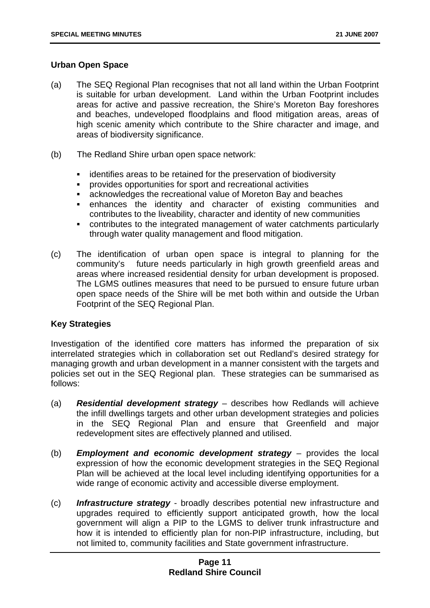#### **Urban Open Space**

- (a) The SEQ Regional Plan recognises that not all land within the Urban Footprint is suitable for urban development. Land within the Urban Footprint includes areas for active and passive recreation, the Shire's Moreton Bay foreshores and beaches, undeveloped floodplains and flood mitigation areas, areas of high scenic amenity which contribute to the Shire character and image, and areas of biodiversity significance.
- (b) The Redland Shire urban open space network:
	- identifies areas to be retained for the preservation of biodiversity
	- provides opportunities for sport and recreational activities
	- acknowledges the recreational value of Moreton Bay and beaches
	- enhances the identity and character of existing communities and contributes to the liveability, character and identity of new communities
	- contributes to the integrated management of water catchments particularly through water quality management and flood mitigation.
- (c) The identification of urban open space is integral to planning for the community's future needs particularly in high growth greenfield areas and areas where increased residential density for urban development is proposed. The LGMS outlines measures that need to be pursued to ensure future urban open space needs of the Shire will be met both within and outside the Urban Footprint of the SEQ Regional Plan.

#### **Key Strategies**

Investigation of the identified core matters has informed the preparation of six interrelated strategies which in collaboration set out Redland's desired strategy for managing growth and urban development in a manner consistent with the targets and policies set out in the SEQ Regional plan. These strategies can be summarised as follows:

- (a) *Residential development strategy* describes how Redlands will achieve the infill dwellings targets and other urban development strategies and policies in the SEQ Regional Plan and ensure that Greenfield and major redevelopment sites are effectively planned and utilised.
- (b) *Employment and economic development strategy* provides the local expression of how the economic development strategies in the SEQ Regional Plan will be achieved at the local level including identifying opportunities for a wide range of economic activity and accessible diverse employment.
- (c) *Infrastructure strategy*  broadly describes potential new infrastructure and upgrades required to efficiently support anticipated growth, how the local government will align a PIP to the LGMS to deliver trunk infrastructure and how it is intended to efficiently plan for non-PIP infrastructure, including, but not limited to, community facilities and State government infrastructure.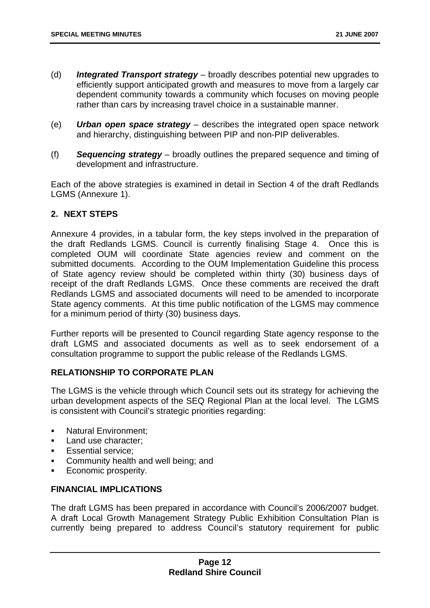- (d) *Integrated Transport strategy* broadly describes potential new upgrades to efficiently support anticipated growth and measures to move from a largely car dependent community towards a community which focuses on moving people rather than cars by increasing travel choice in a sustainable manner.
- (e) *Urban open space strategy* describes the integrated open space network and hierarchy, distinguishing between PIP and non-PIP deliverables.
- (f) *Sequencing strategy* broadly outlines the prepared sequence and timing of development and infrastructure.

Each of the above strategies is examined in detail in Section 4 of the draft Redlands LGMS (Annexure 1).

#### **2. NEXT STEPS**

Annexure 4 provides, in a tabular form, the key steps involved in the preparation of the draft Redlands LGMS. Council is currently finalising Stage 4. Once this is completed OUM will coordinate State agencies review and comment on the submitted documents. According to the OUM Implementation Guideline this process of State agency review should be completed within thirty (30) business days of receipt of the draft Redlands LGMS. Once these comments are received the draft Redlands LGMS and associated documents will need to be amended to incorporate State agency comments. At this time public notification of the LGMS may commence for a minimum period of thirty (30) business days.

Further reports will be presented to Council regarding State agency response to the draft LGMS and associated documents as well as to seek endorsement of a consultation programme to support the public release of the Redlands LGMS.

#### **RELATIONSHIP TO CORPORATE PLAN**

The LGMS is the vehicle through which Council sets out its strategy for achieving the urban development aspects of the SEQ Regional Plan at the local level. The LGMS is consistent with Council's strategic priorities regarding:

- Natural Environment:
- **Land use character:**
- **Essential service:**
- **Community health and well being; and**
- Economic prosperity.

#### **FINANCIAL IMPLICATIONS**

The draft LGMS has been prepared in accordance with Council's 2006/2007 budget. A draft Local Growth Management Strategy Public Exhibition Consultation Plan is currently being prepared to address Council's statutory requirement for public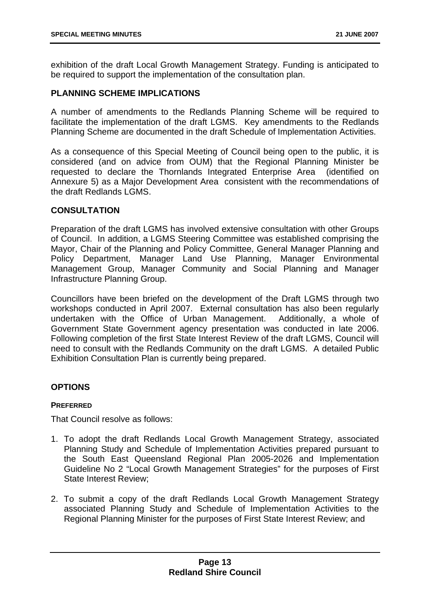exhibition of the draft Local Growth Management Strategy. Funding is anticipated to be required to support the implementation of the consultation plan.

#### **PLANNING SCHEME IMPLICATIONS**

A number of amendments to the Redlands Planning Scheme will be required to facilitate the implementation of the draft LGMS. Key amendments to the Redlands Planning Scheme are documented in the draft Schedule of Implementation Activities.

As a consequence of this Special Meeting of Council being open to the public, it is considered (and on advice from OUM) that the Regional Planning Minister be requested to declare the Thornlands Integrated Enterprise Area (identified on Annexure 5) as a Major Development Area consistent with the recommendations of the draft Redlands LGMS.

#### **CONSULTATION**

Preparation of the draft LGMS has involved extensive consultation with other Groups of Council. In addition, a LGMS Steering Committee was established comprising the Mayor, Chair of the Planning and Policy Committee, General Manager Planning and Policy Department, Manager Land Use Planning, Manager Environmental Management Group, Manager Community and Social Planning and Manager Infrastructure Planning Group.

Councillors have been briefed on the development of the Draft LGMS through two workshops conducted in April 2007. External consultation has also been regularly undertaken with the Office of Urban Management. Additionally, a whole of Government State Government agency presentation was conducted in late 2006. Following completion of the first State Interest Review of the draft LGMS, Council will need to consult with the Redlands Community on the draft LGMS. A detailed Public Exhibition Consultation Plan is currently being prepared.

#### **OPTIONS**

#### **PREFERRED**

That Council resolve as follows:

- 1. To adopt the draft Redlands Local Growth Management Strategy, associated Planning Study and Schedule of Implementation Activities prepared pursuant to the South East Queensland Regional Plan 2005-2026 and Implementation Guideline No 2 "Local Growth Management Strategies" for the purposes of First State Interest Review;
- 2. To submit a copy of the draft Redlands Local Growth Management Strategy associated Planning Study and Schedule of Implementation Activities to the Regional Planning Minister for the purposes of First State Interest Review; and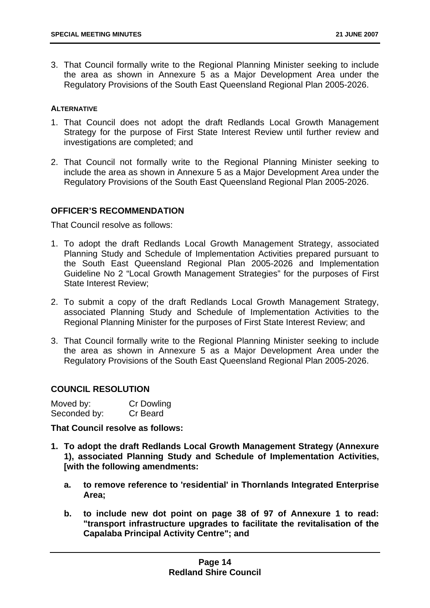3. That Council formally write to the Regional Planning Minister seeking to include the area as shown in Annexure 5 as a Major Development Area under the Regulatory Provisions of the South East Queensland Regional Plan 2005-2026.

#### **ALTERNATIVE**

- 1. That Council does not adopt the draft Redlands Local Growth Management Strategy for the purpose of First State Interest Review until further review and investigations are completed; and
- 2. That Council not formally write to the Regional Planning Minister seeking to include the area as shown in Annexure 5 as a Major Development Area under the Regulatory Provisions of the South East Queensland Regional Plan 2005-2026.

#### **OFFICER'S RECOMMENDATION**

That Council resolve as follows:

- 1. To adopt the draft Redlands Local Growth Management Strategy, associated Planning Study and Schedule of Implementation Activities prepared pursuant to the South East Queensland Regional Plan 2005-2026 and Implementation Guideline No 2 "Local Growth Management Strategies" for the purposes of First State Interest Review;
- 2. To submit a copy of the draft Redlands Local Growth Management Strategy, associated Planning Study and Schedule of Implementation Activities to the Regional Planning Minister for the purposes of First State Interest Review; and
- 3. That Council formally write to the Regional Planning Minister seeking to include the area as shown in Annexure 5 as a Major Development Area under the Regulatory Provisions of the South East Queensland Regional Plan 2005-2026.

#### **COUNCIL RESOLUTION**

| Moved by:    | Cr Dowling |
|--------------|------------|
| Seconded by: | Cr Beard   |

**That Council resolve as follows:** 

- **1. To adopt the draft Redlands Local Growth Management Strategy (Annexure 1), associated Planning Study and Schedule of Implementation Activities, [with the following amendments:** 
	- **a. to remove reference to 'residential' in Thornlands Integrated Enterprise Area;**
	- **b. to include new dot point on page 38 of 97 of Annexure 1 to read: "transport infrastructure upgrades to facilitate the revitalisation of the Capalaba Principal Activity Centre"; and**